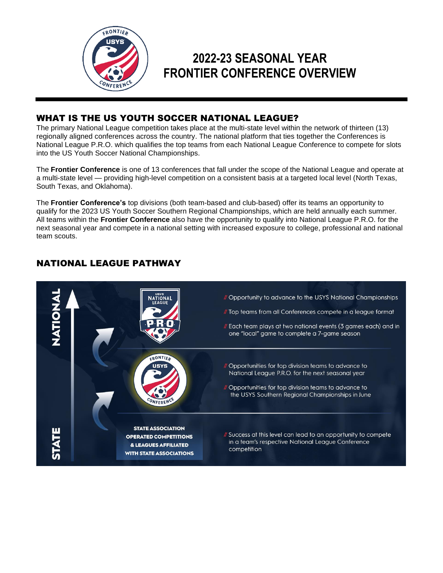

# **2022-23 SEASONAL YEAR FRONTIER CONFERENCE OVERVIEW**

# WHAT IS THE US YOUTH SOCCER NATIONAL LEAGUE?

The primary National League competition takes place at the multi-state level within the network of thirteen (13) regionally aligned conferences across the country. The national platform that ties together the Conferences is National League P.R.O. which qualifies the top teams from each National League Conference to compete for slots into the US Youth Soccer National Championships.

The **Frontier Conference** is one of 13 conferences that fall under the scope of the National League and operate at a multi-state level — providing high-level competition on a consistent basis at a targeted local level (North Texas, South Texas, and Oklahoma).

The **Frontier Conference's** top divisions (both team-based and club-based) offer its teams an opportunity to qualify for the 2023 US Youth Soccer Southern Regional Championships, which are held annually each summer. All teams within the **Frontier Conference** also have the opportunity to qualify into National League P.R.O. for the next seasonal year and compete in a national setting with increased exposure to college, professional and national team scouts.

# // Opportunity to advance to the USYS National Championships // Top teams from all Conferences compete in a league format // Each team plays at two national events (3 games each) and in one "local" game to complete a 7-game season // Opportunities for top division teams to advance to National League P.R.O. for the next seasonal year // Opportunities for top division teams to advance to the USYS Southern Regional Championships in June CONFEREN **STATE ASSOCIATION** Il Success at this level can lead to an opportunity to compete **OPERATED COMPETITIONS** in a team's respective National League Conference & LEAGUES AFFILIATED competition **WITH STATE ASSOCIATIONS**

# NATIONAL LEAGUE PATHWAY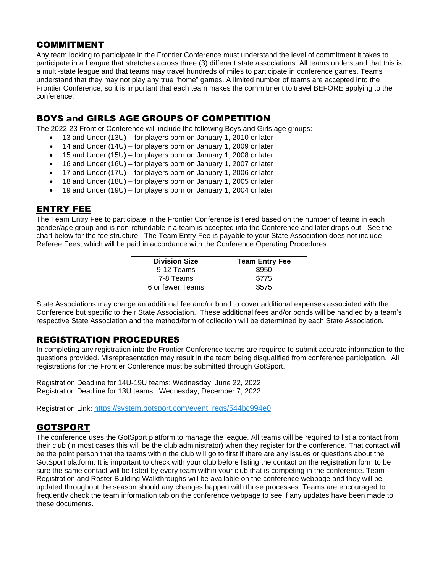### COMMITMENT

Any team looking to participate in the Frontier Conference must understand the level of commitment it takes to participate in a League that stretches across three (3) different state associations. All teams understand that this is a multi-state league and that teams may travel hundreds of miles to participate in conference games. Teams understand that they may not play any true "home" games. A limited number of teams are accepted into the Frontier Conference, so it is important that each team makes the commitment to travel BEFORE applying to the conference.

### BOYS and GIRLS AGE GROUPS OF COMPETITION

The 2022-23 Frontier Conference will include the following Boys and Girls age groups:

- 13 and Under (13U) for players born on January 1, 2010 or later
- 14 and Under (14U) for players born on January 1, 2009 or later
- 15 and Under (15U) for players born on January 1, 2008 or later
- 16 and Under (16U) for players born on January 1, 2007 or later
- 17 and Under (17U) for players born on January 1, 2006 or later
- 18 and Under (18U) for players born on January 1, 2005 or later
- 19 and Under (19U) for players born on January 1, 2004 or later

### ENTRY FEE

The Team Entry Fee to participate in the Frontier Conference is tiered based on the number of teams in each gender/age group and is non-refundable if a team is accepted into the Conference and later drops out. See the chart below for the fee structure. The Team Entry Fee is payable to your State Association does not include Referee Fees, which will be paid in accordance with the Conference Operating Procedures.

| <b>Division Size</b> | <b>Team Entry Fee</b> |  |
|----------------------|-----------------------|--|
| 9-12 Teams           | \$950                 |  |
| 7-8 Teams            | \$775                 |  |
| 6 or fewer Teams     | \$575                 |  |

State Associations may charge an additional fee and/or bond to cover additional expenses associated with the Conference but specific to their State Association. These additional fees and/or bonds will be handled by a team's respective State Association and the method/form of collection will be determined by each State Association.

# REGISTRATION PROCEDURES

In completing any registration into the Frontier Conference teams are required to submit accurate information to the questions provided. Misrepresentation may result in the team being disqualified from conference participation. All registrations for the Frontier Conference must be submitted through GotSport.

Registration Deadline for 14U-19U teams: Wednesday, June 22, 2022 Registration Deadline for 13U teams: Wednesday, December 7, 2022

Registration Link: [https://system.gotsport.com/event\\_regs/544bc994e0](https://system.gotsport.com/event_regs/544bc994e0)

# GOTSPORT

The conference uses the GotSport platform to manage the league. All teams will be required to list a contact from their club (in most cases this will be the club administrator) when they register for the conference. That contact will be the point person that the teams within the club will go to first if there are any issues or questions about the GotSport platform. It is important to check with your club before listing the contact on the registration form to be sure the same contact will be listed by every team within your club that is competing in the conference. Team Registration and Roster Building Walkthroughs will be available on the conference webpage and they will be updated throughout the season should any changes happen with those processes. Teams are encouraged to frequently check the team information tab on the conference webpage to see if any updates have been made to these documents.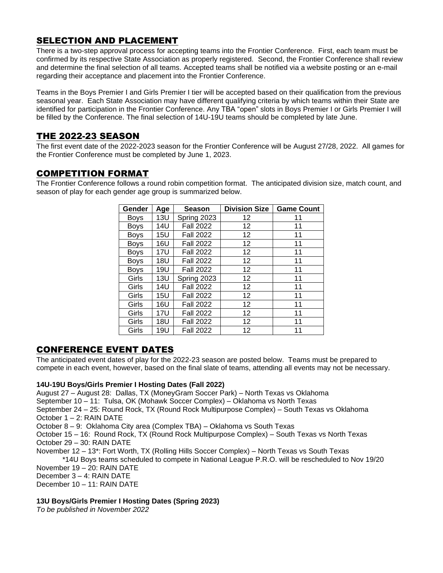# SELECTION AND PLACEMENT

There is a two-step approval process for accepting teams into the Frontier Conference. First, each team must be confirmed by its respective State Association as properly registered. Second, the Frontier Conference shall review and determine the final selection of all teams. Accepted teams shall be notified via a website posting or an e-mail regarding their acceptance and placement into the Frontier Conference.

Teams in the Boys Premier I and Girls Premier I tier will be accepted based on their qualification from the previous seasonal year. Each State Association may have different qualifying criteria by which teams within their State are identified for participation in the Frontier Conference. Any TBA "open" slots in Boys Premier I or Girls Premier I will be filled by the Conference. The final selection of 14U-19U teams should be completed by late June.

# THE 2022-23 SEASON

The first event date of the 2022-2023 season for the Frontier Conference will be August 27/28, 2022. All games for the Frontier Conference must be completed by June 1, 2023.

# COMPETITION FORMAT

The Frontier Conference follows a round robin competition format. The anticipated division size, match count, and season of play for each gender age group is summarized below.

| Gender      | Age        | Season           | <b>Division Size</b> | <b>Game Count</b> |
|-------------|------------|------------------|----------------------|-------------------|
| <b>Boys</b> | <b>13U</b> | Spring 2023      | 12                   | 11                |
| <b>Boys</b> | 14U        | <b>Fall 2022</b> | 12                   | 11                |
| <b>Boys</b> | 15U        | <b>Fall 2022</b> | 12                   | 11                |
| <b>Boys</b> | 16U        | <b>Fall 2022</b> | 12                   | 11                |
| <b>Boys</b> | 17U        | <b>Fall 2022</b> | 12                   | 11                |
| Boys        | 18U        | <b>Fall 2022</b> | 12                   | 11                |
| <b>Boys</b> | 19U        | <b>Fall 2022</b> | 12                   | 11                |
| Girls       | 13U        | Spring 2023      | $12 \overline{ }$    | 11                |
| Girls       | 14U        | <b>Fall 2022</b> | 12                   | 11                |
| Girls       | 15U        | <b>Fall 2022</b> | 12                   | 11                |
| Girls       | 16U        | <b>Fall 2022</b> | 12                   | 11                |
| Girls       | 17U        | <b>Fall 2022</b> | 12                   | 11                |
| Girls       | 18U        | <b>Fall 2022</b> | 12                   | 11                |
| Girls       | 19U        | <b>Fall 2022</b> | 12                   | 11                |

# CONFERENCE EVENT DATES

The anticipated event dates of play for the 2022-23 season are posted below. Teams must be prepared to compete in each event, however, based on the final slate of teams, attending all events may not be necessary.

#### **14U-19U Boys/Girls Premier I Hosting Dates (Fall 2022)**

August 27 – August 28: Dallas, TX (MoneyGram Soccer Park) – North Texas vs Oklahoma

September 10 – 11: Tulsa, OK (Mohawk Soccer Complex) – Oklahoma vs North Texas

September 24 – 25: Round Rock, TX (Round Rock Multipurpose Complex) – South Texas vs Oklahoma October 1 – 2: RAIN DATE

October 8 – 9: Oklahoma City area (Complex TBA) – Oklahoma vs South Texas

October 15 – 16: Round Rock, TX (Round Rock Multipurpose Complex) – South Texas vs North Texas October 29 – 30: RAIN DATE

November 12 – 13\*: Fort Worth, TX (Rolling Hills Soccer Complex) – North Texas vs South Texas

\*14U Boys teams scheduled to compete in National League P.R.O. will be rescheduled to Nov 19/20 November 19 – 20: RAIN DATE

December 3 – 4: RAIN DATE

December 10 – 11: RAIN DATE

#### **13U Boys/Girls Premier I Hosting Dates (Spring 2023)**

*To be published in November 2022*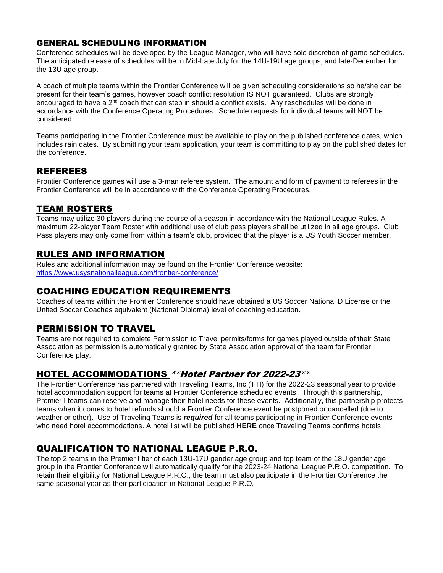#### GENERAL SCHEDULING INFORMATION

Conference schedules will be developed by the League Manager, who will have sole discretion of game schedules. The anticipated release of schedules will be in Mid-Late July for the 14U-19U age groups, and late-December for the 13U age group.

A coach of multiple teams within the Frontier Conference will be given scheduling considerations so he/she can be present for their team's games, however coach conflict resolution IS NOT guaranteed. Clubs are strongly encouraged to have a 2<sup>nd</sup> coach that can step in should a conflict exists. Any reschedules will be done in accordance with the Conference Operating Procedures. Schedule requests for individual teams will NOT be considered.

Teams participating in the Frontier Conference must be available to play on the published conference dates, which includes rain dates. By submitting your team application, your team is committing to play on the published dates for the conference.

### REFEREES

Frontier Conference games will use a 3-man referee system. The amount and form of payment to referees in the Frontier Conference will be in accordance with the Conference Operating Procedures.

### TEAM ROSTERS

Teams may utilize 30 players during the course of a season in accordance with the National League Rules. A maximum 22-player Team Roster with additional use of club pass players shall be utilized in all age groups. Club Pass players may only come from within a team's club, provided that the player is a US Youth Soccer member.

### RULES AND INFORMATION

Rules and additional information may be found on the Frontier Conference website: <https://www.usysnationalleague.com/frontier-conference/>

### COACHING EDUCATION REQUIREMENTS

Coaches of teams within the Frontier Conference should have obtained a US Soccer National D License or the United Soccer Coaches equivalent (National Diploma) level of coaching education.

# PERMISSION TO TRAVEL

Teams are not required to complete Permission to Travel permits/forms for games played outside of their State Association as permission is automatically granted by State Association approval of the team for Frontier Conference play.

# HOTEL ACCOMMODATIONS \*\*Hotel Partner for 2022-23\*\*

The Frontier Conference has partnered with Traveling Teams, Inc (TTI) for the 2022-23 seasonal year to provide hotel accommodation support for teams at Frontier Conference scheduled events. Through this partnership, Premier I teams can reserve and manage their hotel needs for these events. Additionally, this partnership protects teams when it comes to hotel refunds should a Frontier Conference event be postponed or cancelled (due to weather or other). Use of Traveling Teams is *required* for all teams participating in Frontier Conference events who need hotel accommodations. A hotel list will be published **HERE** once Traveling Teams confirms hotels.

# QUALIFICATION TO NATIONAL LEAGUE P.R.O.

The top 2 teams in the Premier I tier of each 13U-17U gender age group and top team of the 18U gender age group in the Frontier Conference will automatically qualify for the 2023-24 National League P.R.O. competition. To retain their eligibility for National League P.R.O., the team must also participate in the Frontier Conference the same seasonal year as their participation in National League P.R.O.